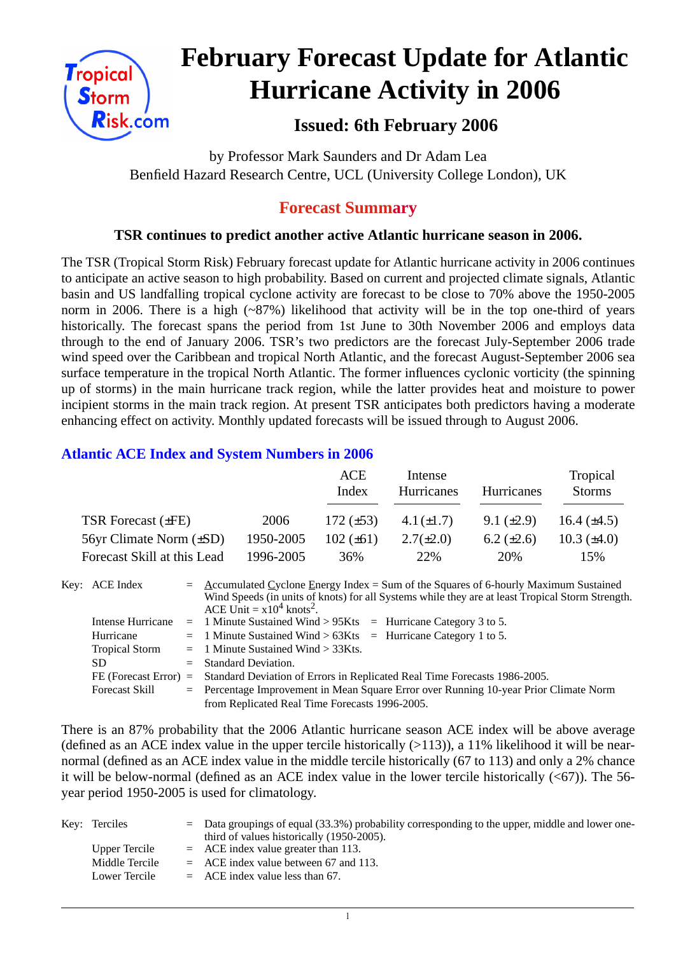

# **February Forecast Update for Atlantic Hurricane Activity in 2006**

# **Issued: 6th February 2006**

by Professor Mark Saunders and Dr Adam Lea Benfield Hazard Research Centre, UCL (University College London), UK

## **Forecast Summary**

#### **TSR continues to predict another active Atlantic hurricane season in 2006.**

The TSR (Tropical Storm Risk) February forecast update for Atlantic hurricane activity in 2006 continues to anticipate an active season to high probability. Based on current and projected climate signals, Atlantic basin and US landfalling tropical cyclone activity are forecast to be close to 70% above the 1950-2005 norm in 2006. There is a high (~87%) likelihood that activity will be in the top one-third of years historically. The forecast spans the period from 1st June to 30th November 2006 and employs data through to the end of January 2006. TSR's two predictors are the forecast July-September 2006 trade wind speed over the Caribbean and tropical North Atlantic, and the forecast August-September 2006 sea surface temperature in the tropical North Atlantic. The former influences cyclonic vorticity (the spinning up of storms) in the main hurricane track region, while the latter provides heat and moisture to power incipient storms in the main track region. At present TSR anticipates both predictors having a moderate enhancing effect on activity. Monthly updated forecasts will be issued through to August 2006.

### **Atlantic ACE Index and System Numbers in 2006**

|                                |           | ACE<br>Index   | Intense<br>Hurricanes | Hurricanes        | Tropical<br><b>Storms</b> |
|--------------------------------|-----------|----------------|-----------------------|-------------------|---------------------------|
| TSR Forecast $(\pm FE)$        | 2006      | 172 $(\pm 53)$ | $4.1(\pm 1.7)$        | $9.1 (\pm 2.9)$   | 16.4 $(\pm 4.5)$          |
| $56yr$ Climate Norm $(\pm SD)$ | 1950-2005 | $102 (\pm 61)$ | $2.7(\pm 2.0)$        | $6.2 \ (\pm 2.6)$ | $10.3 \ (\pm 4.0)$        |
| Forecast Skill at this Lead    | 1996-2005 | 36%            | 22%                   | 20%               | 15%                       |

| Key: ACE Index        | $=$ Accumulated Cyclone Energy Index = Sum of the Squares of 6-hourly Maximum Sustained          |
|-----------------------|--------------------------------------------------------------------------------------------------|
|                       | Wind Speeds (in units of knots) for all Systems while they are at least Tropical Storm Strength. |
|                       | ACE Unit = $x10^4$ knots <sup>2</sup> .                                                          |
|                       | Intense Hurricane $= 1$ Minute Sustained Wind > 95Kts $=$ Hurricane Category 3 to 5.             |
| Hurricane             | $=$ 1 Minute Sustained Wind > 63Kts = Hurricane Category 1 to 5.                                 |
| <b>Tropical Storm</b> | $=$ 1 Minute Sustained Wind $>$ 33Kts.                                                           |
| SD.                   | $=$ Standard Deviation.                                                                          |
|                       | FE (Forecast Error) = Standard Deviation of Errors in Replicated Real Time Forecasts 1986-2005.  |
| <b>Forecast Skill</b> | = Percentage Improvement in Mean Square Error over Running 10-year Prior Climate Norm            |
|                       | from Replicated Real Time Forecasts 1996-2005.                                                   |

There is an 87% probability that the 2006 Atlantic hurricane season ACE index will be above average (defined as an ACE index value in the upper tercile historically  $(>113)$ ), a 11% likelihood it will be nearnormal (defined as an ACE index value in the middle tercile historically (67 to 113) and only a 2% chance it will be below-normal (defined as an ACE index value in the lower tercile historically  $( $67$ )$ ). The 56year period 1950-2005 is used for climatology.

| Key: Terciles  | $\epsilon$ Data groupings of equal (33.3%) probability corresponding to the upper, middle and lower one-<br>third of values historically (1950-2005). |
|----------------|-------------------------------------------------------------------------------------------------------------------------------------------------------|
| Upper Tercile  | $=$ ACE index value greater than 113.                                                                                                                 |
| Middle Tercile | $=$ ACE index value between 67 and 113.                                                                                                               |
| Lower Tercile  | $=$ ACE index value less than 67.                                                                                                                     |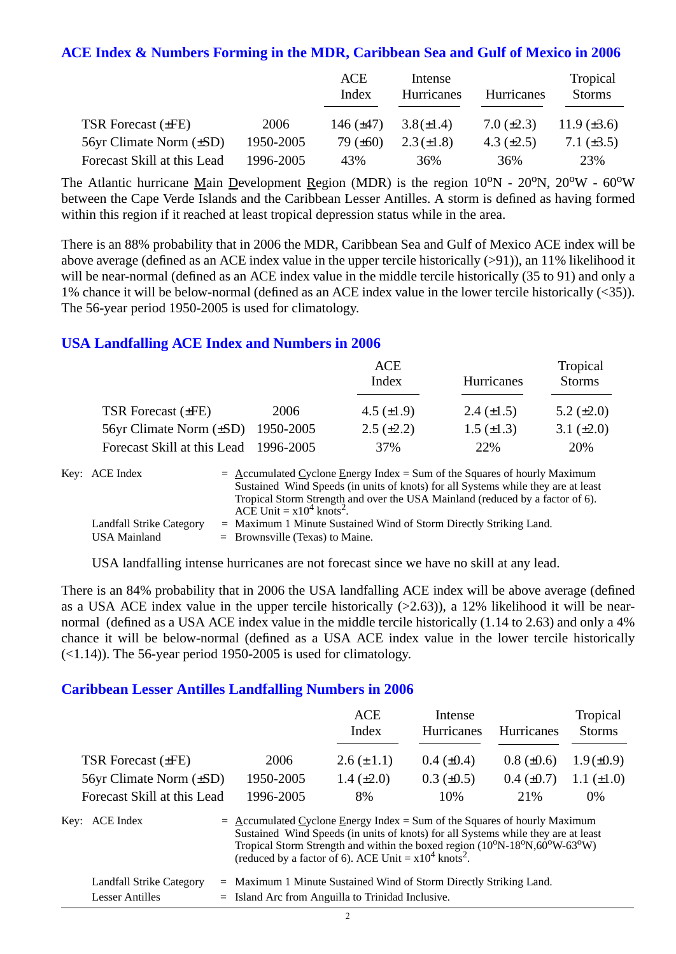#### **ACE Index & Numbers Forming in the MDR, Caribbean Sea and Gulf of Mexico in 2006**

|                              |           | ACE<br>Index   | Intense<br>Hurricanes | Hurricanes      | Tropical<br><b>Storms</b> |
|------------------------------|-----------|----------------|-----------------------|-----------------|---------------------------|
| TSR Forecast $(\pm FE)$      | 2006      | 146 $(\pm 47)$ | $3.8(\pm 1.4)$        | 7.0 $(\pm 2.3)$ | 11.9 $(\pm 3.6)$          |
| 56yr Climate Norm $(\pm SD)$ | 1950-2005 | 79 $(\pm 60)$  | $2.3 (\pm 1.8)$       | 4.3 $(\pm 2.5)$ | 7.1 $(\pm 3.5)$           |
| Forecast Skill at this Lead  | 1996-2005 | 43%            | 36%                   | 36%             | 23%                       |

The Atlantic hurricane Main Development Region (MDR) is the region  $10^{\circ}N - 20^{\circ}N$ ,  $20^{\circ}W - 60^{\circ}W$ between the Cape Verde Islands and the Caribbean Lesser Antilles. A storm is defined as having formed within this region if it reached at least tropical depression status while in the area.

There is an 88% probability that in 2006 the MDR, Caribbean Sea and Gulf of Mexico ACE index will be above average (defined as an ACE index value in the upper tercile historically (>91)), an 11% likelihood it will be near-normal (defined as an ACE index value in the middle tercile historically (35 to 91) and only a 1% chance it will be below-normal (defined as an ACE index value in the lower tercile historically (<35)). The 56-year period 1950-2005 is used for climatology.

#### **USA Landfalling ACE Index and Numbers in 2006**

|                                        |      | <b>ACE</b><br>Index | Hurricanes        | Tropical<br><b>Storms</b> |
|----------------------------------------|------|---------------------|-------------------|---------------------------|
| TSR Forecast $(\pm FE)$                | 2006 | 4.5 $(\pm 1.9)$     | 2.4 $(\pm 1.5)$   | 5.2 $(\pm 2.0)$           |
| 56yr Climate Norm $(\pm SD)$ 1950-2005 |      | $2.5 \ (\pm 2.2)$   | $1.5 \ (\pm 1.3)$ | 3.1 $(\pm 2.0)$           |
| Forecast Skill at this Lead 1996-2005  |      | 37%                 | 22%               | 20%                       |

| Key: ACE Index           | $=$ Accumulated Cyclone Energy Index $=$ Sum of the Squares of hourly Maximum     |
|--------------------------|-----------------------------------------------------------------------------------|
|                          | Sustained Wind Speeds (in units of knots) for all Systems while they are at least |
|                          | Tropical Storm Strength and over the USA Mainland (reduced by a factor of 6).     |
|                          | ACE Unit $= x10^4$ knots <sup>2</sup> .                                           |
| Landfall Strike Category | $=$ Maximum 1 Minute Sustained Wind of Storm Directly Striking Land.              |
| USA Mainland             | $=$ Brownsville (Texas) to Maine.                                                 |

USA landfalling intense hurricanes are not forecast since we have no skill at any lead.

There is an 84% probability that in 2006 the USA landfalling ACE index will be above average (defined as a USA ACE index value in the upper tercile historically  $(>2.63)$ ), a 12% likelihood it will be nearnormal (defined as a USA ACE index value in the middle tercile historically (1.14 to 2.63) and only a 4% chance it will be below-normal (defined as a USA ACE index value in the lower tercile historically  $(\le 1.14)$ ). The 56-year period 1950-2005 is used for climatology.

#### **Caribbean Lesser Antilles Landfalling Numbers in 2006**

|                                |                                                                             | <b>ACE</b><br>Index                                                                                                                                                                                                                          | Intense<br>Hurricanes | <b>Hurricanes</b> | Tropical<br><b>Storms</b> |
|--------------------------------|-----------------------------------------------------------------------------|----------------------------------------------------------------------------------------------------------------------------------------------------------------------------------------------------------------------------------------------|-----------------------|-------------------|---------------------------|
| <b>TSR Forecast (±FE)</b>      | 2006                                                                        | $2.6 (\pm 1.1)$                                                                                                                                                                                                                              | $0.4 \ (\pm 0.4)$     | $0.8 (\pm 0.6)$   | $1.9(\pm 0.9)$            |
| $56yr$ Climate Norm $(\pm SD)$ | 1950-2005                                                                   | 1.4 $(\pm 2.0)$                                                                                                                                                                                                                              | $0.3 \ (\pm 0.5)$     | $0.4~(\pm 0.7)$   | 1.1 $(\pm 1.0)$           |
| Forecast Skill at this Lead    | 1996-2005                                                                   | 8%                                                                                                                                                                                                                                           | 10%                   | 21%               | $0\%$                     |
| Key: ACE Index                 | $=$ Accumulated Cyclone Energy Index = Sum of the Squares of hourly Maximum | Sustained Wind Speeds (in units of knots) for all Systems while they are at least<br>Tropical Storm Strength and within the boxed region $(10^0N-18^0N, 60^0W-63^0W)$<br>(reduced by a factor of 6). ACE Unit = $x10^4$ knots <sup>2</sup> . |                       |                   |                           |
| Landfall Strike Category       | $=$ Maximum 1 Minute Sustained Wind of Storm Directly Striking Land.        |                                                                                                                                                                                                                                              |                       |                   |                           |

| $E$ andran Durine Calegor, | <i>mainmant</i> remain basance wind or biomi bircent burner |
|----------------------------|-------------------------------------------------------------|
| Lesser Antilles            | $=$ Island Arc from Anguilla to Trinidad Inclusive.         |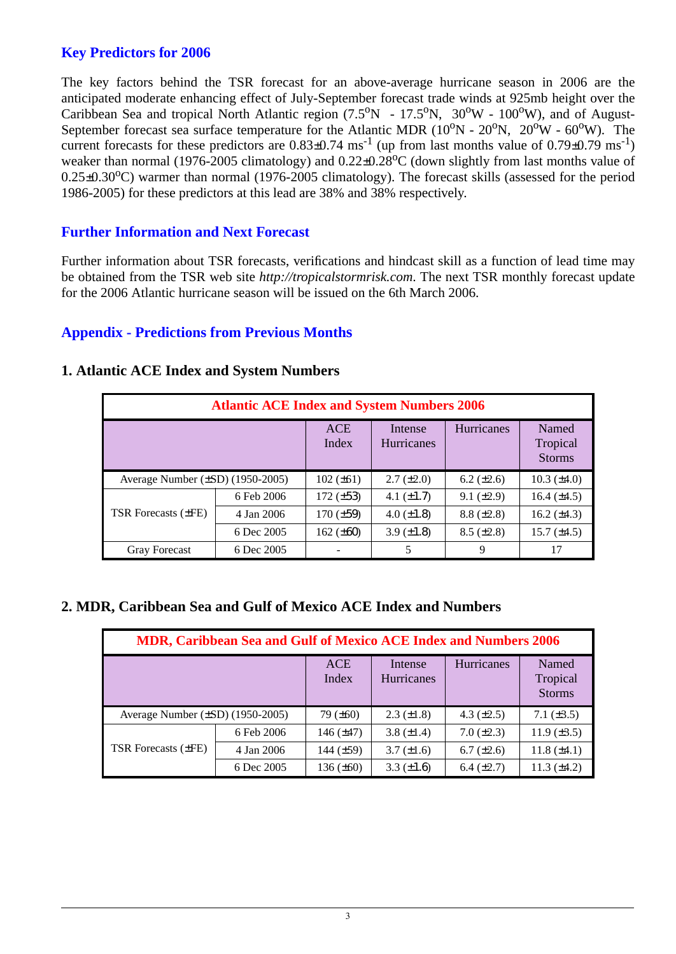### **Key Predictors for 2006**

The key factors behind the TSR forecast for an above-average hurricane season in 2006 are the anticipated moderate enhancing effect of July-September forecast trade winds at 925mb height over the Caribbean Sea and tropical North Atlantic region  $(7.5^{\circ}N - 17.5^{\circ}N, 30^{\circ}W - 100^{\circ}W)$ , and of August-September forecast sea surface temperature for the Atlantic MDR ( $10^{\circ}$ N -  $20^{\circ}$ N,  $20^{\circ}$ W -  $60^{\circ}$ W). The current forecasts for these predictors are  $0.83\pm0.74$  ms<sup>-1</sup> (up from last months value of  $0.79\pm0.79$  ms<sup>-1</sup>) weaker than normal (1976-2005 climatology) and  $0.22\pm0.28^{\circ}$ C (down slightly from last months value of  $0.25\pm0.30^{\circ}$ C) warmer than normal (1976-2005 climatology). The forecast skills (assessed for the period 1986-2005) for these predictors at this lead are 38% and 38% respectively.

#### **Further Information and Next Forecast**

Further information about TSR forecasts, verifications and hindcast skill as a function of lead time may be obtained from the TSR web site *http://tropicalstormrisk.com*. The next TSR monthly forecast update for the 2006 Atlantic hurricane season will be issued on the 6th March 2006.

#### **Appendix - Predictions from Previous Months**

|                                       | <b>Atlantic ACE Index and System Numbers 2006</b> |                     |                              |                   |                                    |
|---------------------------------------|---------------------------------------------------|---------------------|------------------------------|-------------------|------------------------------------|
|                                       |                                                   | <b>ACE</b><br>Index | Intense<br><b>Hurricanes</b> | Hurricanes        | Named<br>Tropical<br><b>Storms</b> |
| Average Number $(\pm SD)$ (1950-2005) |                                                   | $102 (\pm 61)$      | $2.7 (\pm 2.0)$              | $6.2 \ (\pm 2.6)$ | $10.3 \ (\pm 4.0)$                 |
|                                       | 6 Feb 2006                                        | $172 (\pm 53)$      | 4.1 $(\pm 1.7)$              | $9.1 (\pm 2.9)$   | 16.4 $(\pm 4.5)$                   |
| <b>TSR Forecasts (±FE)</b>            | 4 Jan 2006                                        | $170 (\pm 59)$      | 4.0 $(\pm 1.8)$              | $8.8 (\pm 2.8)$   | 16.2 $(\pm 4.3)$                   |
|                                       | 6 Dec 2005                                        | 162 $(\pm 60)$      | 3.9 $(\pm 1.8)$              | $8.5 (\pm 2.8)$   | $15.7 (\pm 4.5)$                   |
| <b>Gray Forecast</b>                  | 6 Dec 2005                                        |                     | 5                            | 9                 | 17                                 |

#### **1. Atlantic ACE Index and System Numbers**

#### **2. MDR, Caribbean Sea and Gulf of Mexico ACE Index and Numbers**

|                                       | MDR, Caribbean Sea and Gulf of Mexico ACE Index and Numbers 2006 |                     |                              |                 |                                    |
|---------------------------------------|------------------------------------------------------------------|---------------------|------------------------------|-----------------|------------------------------------|
|                                       |                                                                  | <b>ACE</b><br>Index | Intense<br><b>Hurricanes</b> | Hurricanes      | Named<br>Tropical<br><b>Storms</b> |
| Average Number $(\pm SD)$ (1950-2005) |                                                                  | $79 (\pm 60)$       | $2.3 \ (\pm 1.8)$            | 4.3 $(\pm 2.5)$ | 7.1 $(\pm 3.5)$                    |
|                                       | 6 Feb 2006                                                       | 146 $(\pm 47)$      | 3.8 $(\pm 1.4)$              | $7.0 (\pm 2.3)$ | 11.9 $(\pm 3.5)$                   |
| <b>TSR Forecasts (±FE)</b>            | 4 Jan 2006                                                       | 144 $(\pm 59)$      | $3.7 (\pm 1.6)$              | $6.7 (\pm 2.6)$ | 11.8 $(\pm 4.1)$                   |
|                                       | 6 Dec 2005                                                       | 136 $(\pm 60)$      | 3.3 $(\pm 1.6)$              | $6.4 (\pm 2.7)$ | 11.3 $(\pm 4.2)$                   |